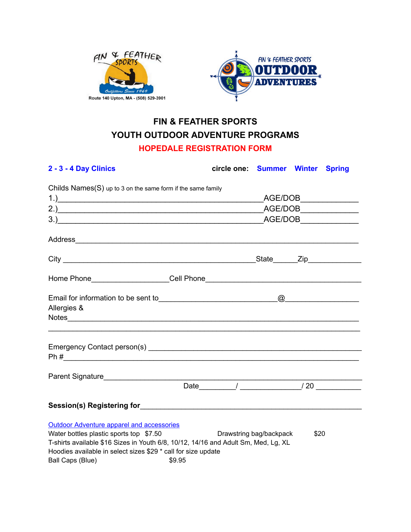



# **FIN & FEATHER SPORTS YOUTH OUTDOOR ADVENTURE PROGRAMS HOPEDALE REGISTRATION FORM**

| 2 - 3 - 4 Day Clinics                                                              | circle one: Summer Winter Spring |                                                           |      |  |  |
|------------------------------------------------------------------------------------|----------------------------------|-----------------------------------------------------------|------|--|--|
| Childs Names(S) up to 3 on the same form if the same family                        |                                  |                                                           |      |  |  |
| $\overline{1}$ .)                                                                  |                                  |                                                           |      |  |  |
|                                                                                    |                                  | $\overline{\phantom{0}}$ AGE/DOB $\overline{\phantom{0}}$ |      |  |  |
|                                                                                    |                                  |                                                           |      |  |  |
|                                                                                    |                                  |                                                           |      |  |  |
|                                                                                    |                                  |                                                           |      |  |  |
|                                                                                    |                                  |                                                           |      |  |  |
|                                                                                    |                                  |                                                           |      |  |  |
| Allergies &                                                                        |                                  |                                                           |      |  |  |
|                                                                                    |                                  |                                                           |      |  |  |
|                                                                                    |                                  |                                                           |      |  |  |
| $Ph#$ $\qquad \qquad$                                                              |                                  |                                                           |      |  |  |
|                                                                                    |                                  |                                                           |      |  |  |
|                                                                                    |                                  |                                                           |      |  |  |
|                                                                                    |                                  |                                                           |      |  |  |
| <b>Outdoor Adventure apparel and accessories</b>                                   |                                  |                                                           |      |  |  |
| Water bottles plastic sports top \$7.50                                            |                                  | Drawstring bag/backpack                                   | \$20 |  |  |
| T-shirts available \$16 Sizes in Youth 6/8, 10/12, 14/16 and Adult Sm, Med, Lg, XL |                                  |                                                           |      |  |  |
| Hoodies available in select sizes \$29 * call for size update                      |                                  |                                                           |      |  |  |
| Ball Caps (Blue)<br>\$9.95                                                         |                                  |                                                           |      |  |  |